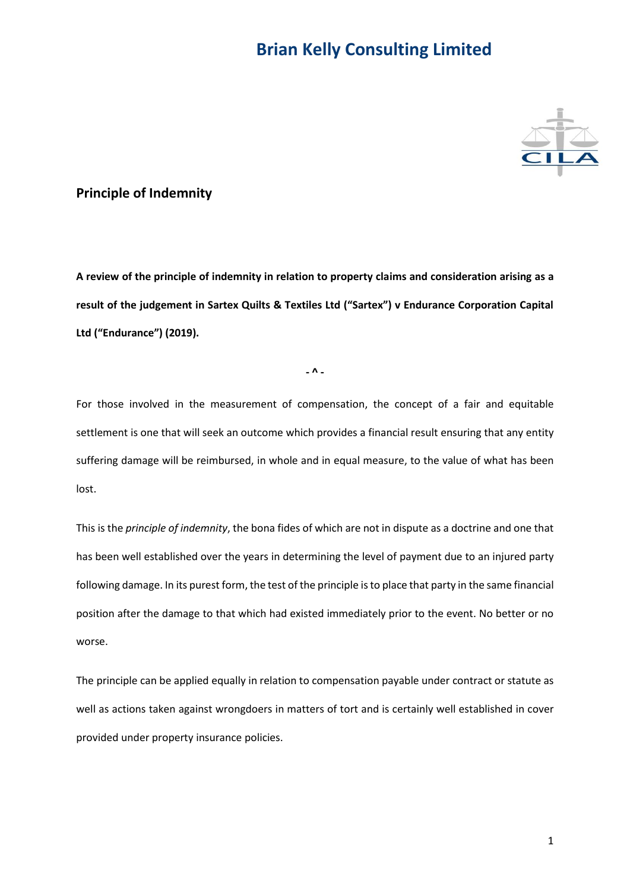

#### **Principle of Indemnity**

**A review of the principle of indemnity in relation to property claims and consideration arising as a result of the judgement in Sartex Quilts & Textiles Ltd ("Sartex") v Endurance Corporation Capital Ltd ("Endurance") (2019).**

**- ^ -**

For those involved in the measurement of compensation, the concept of a fair and equitable settlement is one that will seek an outcome which provides a financial result ensuring that any entity suffering damage will be reimbursed, in whole and in equal measure, to the value of what has been lost.

This is the *principle of indemnity*, the bona fides of which are not in dispute as a doctrine and one that has been well established over the years in determining the level of payment due to an injured party following damage. In its purest form, the test of the principle is to place that party in the same financial position after the damage to that which had existed immediately prior to the event. No better or no worse.

The principle can be applied equally in relation to compensation payable under contract or statute as well as actions taken against wrongdoers in matters of tort and is certainly well established in cover provided under property insurance policies.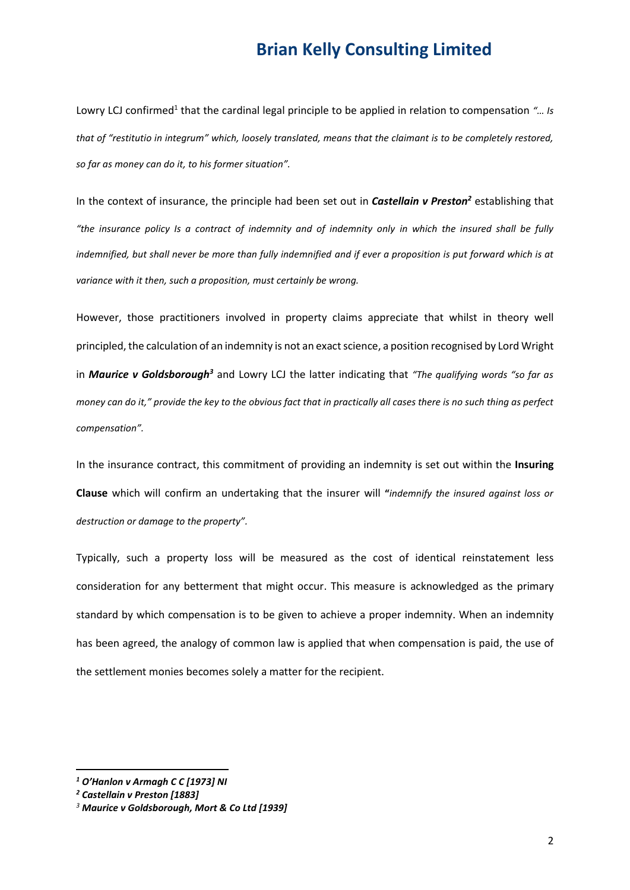Lowry LCJ confirmed<sup>1</sup> that the cardinal legal principle to be applied in relation to compensation "... Is *that of "restitutio in integrum" which, loosely translated, means that the claimant is to be completely restored, so far as money can do it, to his former situation".*

In the context of insurance, the principle had been set out in *Castellain v Preston<sup>2</sup>* establishing that *"the insurance policy Is a contract of indemnity and of indemnity only in which the insured shall be fully indemnified, but shall never be more than fully indemnified and if ever a proposition is put forward which is at variance with it then, such a proposition, must certainly be wrong.*

However, those practitioners involved in property claims appreciate that whilst in theory well principled, the calculation of an indemnity is not an exact science, a position recognised by Lord Wright in *Maurice v Goldsborough<sup>3</sup>* and Lowry LCJ the latter indicating that *"The qualifying words "so far as money can do it," provide the key to the obvious fact that in practically all cases there is no such thing as perfect compensation".*

In the insurance contract, this commitment of providing an indemnity is set out within the **Insuring Clause** which will confirm an undertaking that the insurer will **"***indemnify the insured against loss or destruction or damage to the property".*

Typically, such a property loss will be measured as the cost of identical reinstatement less consideration for any betterment that might occur. This measure is acknowledged as the primary standard by which compensation is to be given to achieve a proper indemnity. When an indemnity has been agreed, the analogy of common law is applied that when compensation is paid, the use of the settlement monies becomes solely a matter for the recipient.

*<sup>1</sup> O'Hanlon v Armagh C C [1973] NI*

*<sup>2</sup> Castellain v Preston [1883]*

*<sup>3</sup> Maurice v Goldsborough, Mort & Co Ltd [1939]*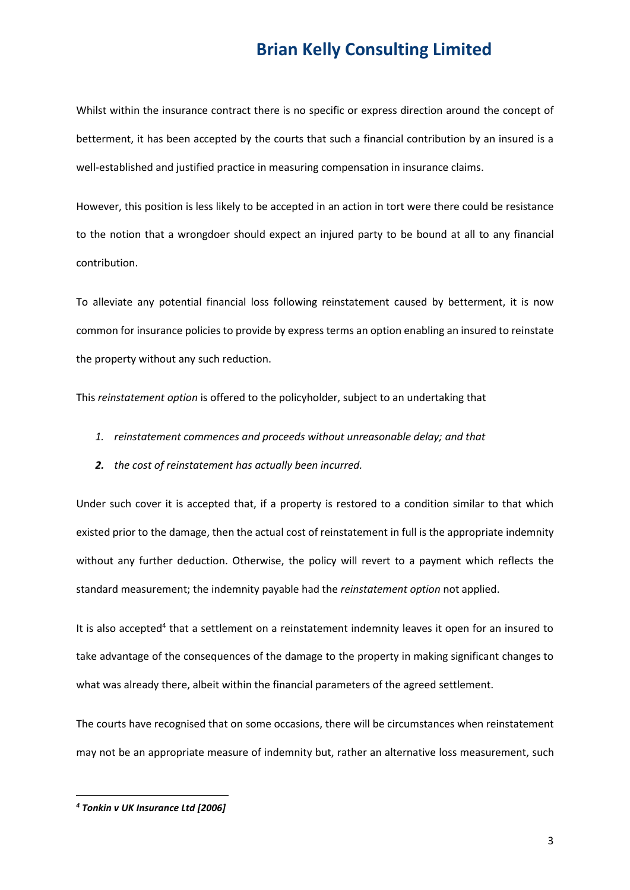Whilst within the insurance contract there is no specific or express direction around the concept of betterment, it has been accepted by the courts that such a financial contribution by an insured is a well-established and justified practice in measuring compensation in insurance claims.

However, this position is less likely to be accepted in an action in tort were there could be resistance to the notion that a wrongdoer should expect an injured party to be bound at all to any financial contribution.

To alleviate any potential financial loss following reinstatement caused by betterment, it is now common for insurance policies to provide by express terms an option enabling an insured to reinstate the property without any such reduction.

This *reinstatement option* is offered to the policyholder, subject to an undertaking that

- *1. reinstatement commences and proceeds without unreasonable delay; and that*
- *2. the cost of reinstatement has actually been incurred.*

Under such cover it is accepted that, if a property is restored to a condition similar to that which existed prior to the damage, then the actual cost of reinstatement in full is the appropriate indemnity without any further deduction. Otherwise, the policy will revert to a payment which reflects the standard measurement; the indemnity payable had the *reinstatement option* not applied.

It is also accepted<sup>4</sup> that a settlement on a reinstatement indemnity leaves it open for an insured to take advantage of the consequences of the damage to the property in making significant changes to what was already there, albeit within the financial parameters of the agreed settlement.

The courts have recognised that on some occasions, there will be circumstances when reinstatement may not be an appropriate measure of indemnity but, rather an alternative loss measurement, such

*<sup>4</sup> Tonkin v UK Insurance Ltd [2006]*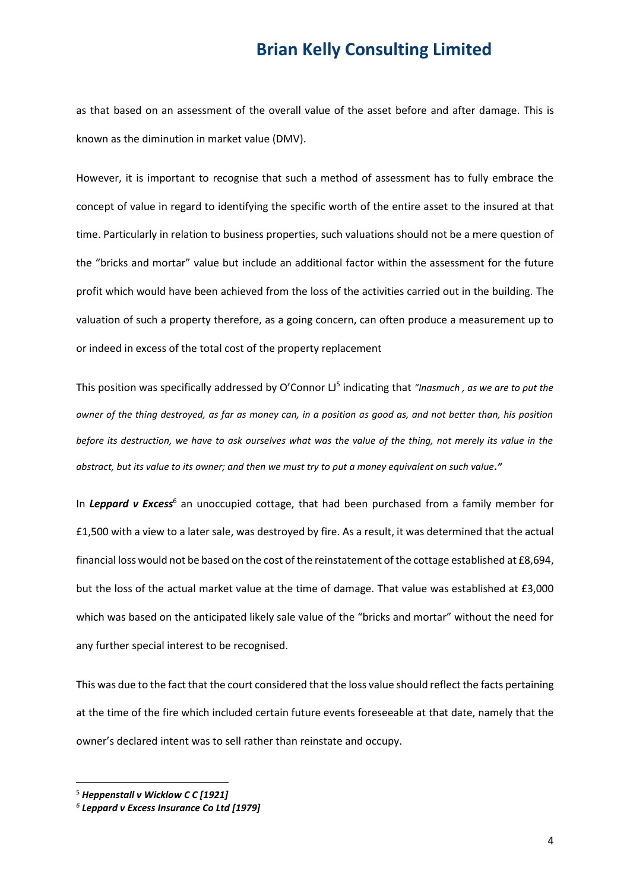as that based on an assessment of the overall value of the asset before and after damage. This is known as the diminution in market value (DMV).

However, it is important to recognise that such a method of assessment has to fully embrace the concept of value in regard to identifying the specific worth of the entire asset to the insured at that time. Particularly in relation to business properties, such valuations should not be a mere question of the "bricks and mortar" value but include an additional factor within the assessment for the future profit which would have been achieved from the loss of the activities carried out in the building. The valuation of such a property therefore, as a going concern, can often produce a measurement up to or indeed in excess of the total cost of the property replacement

This position was specifically addressed by O'Connor LJ<sup>5</sup> indicating that "Inasmuch, as we are to put the *owner of the thing destroyed, as far as money can, in a position as good as, and not better than, his position before its destruction, we have to ask ourselves what was the value of the thing, not merely its value in the abstract, but its value to its owner; and then we must try to put a money equivalent on such value."* 

In *Leppard v Excess*<sup>6</sup> an unoccupied cottage, that had been purchased from a family member for £1,500 with a view to a later sale, was destroyed by fire. As a result, it was determined that the actual financial loss would not be based on the cost of the reinstatement of the cottage established at £8,694, but the loss of the actual market value at the time of damage. That value was established at £3,000 which was based on the anticipated likely sale value of the "bricks and mortar" without the need for any further special interest to be recognised.

This was due to the fact that the court considered that the loss value should reflect the facts pertaining at the time of the fire which included certain future events foreseeable at that date, namely that the owner's declared intent was to sell rather than reinstate and occupy.

<sup>5</sup> *Heppenstall v Wicklow C C [1921]*

*<sup>6</sup> Leppard v Excess Insurance Co Ltd [1979]*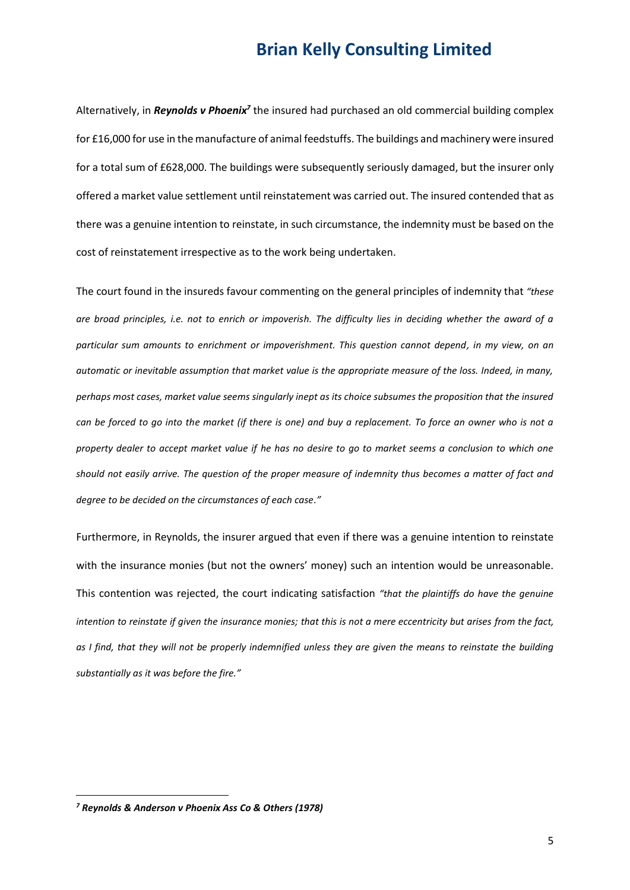Alternatively, in *Reynolds v Phoenix<sup>7</sup>* the insured had purchased an old commercial building complex for £16,000 for use in the manufacture of animal feedstuffs. The buildings and machinery were insured for a total sum of £628,000. The buildings were subsequently seriously damaged, but the insurer only offered a market value settlement until reinstatement was carried out. The insured contended that as there was a genuine intention to reinstate, in such circumstance, the indemnity must be based on the cost of reinstatement irrespective as to the work being undertaken.

The court found in the insureds favour commenting on the general principles of indemnity that *"these are broad principles, i.e. not to enrich or impoverish. The difficulty lies in deciding whether the award of a particular sum amounts to enrichment or impoverishment. This question cannot depend, in my view, on an automatic or inevitable assumption that market value is the appropriate measure of the loss. Indeed, in many, perhaps most cases, market value seems singularly inept as its choice subsumes the proposition that the insured can be forced to go into the market (if there is one) and buy a replacement. To force an owner who is not a property dealer to accept market value if he has no desire to go to market seems a conclusion to which one should not easily arrive. The question of the proper measure of indemnity thus becomes a matter of fact and degree to be decided on the circumstances of each case."*

Furthermore, in Reynolds, the insurer argued that even if there was a genuine intention to reinstate with the insurance monies (but not the owners' money) such an intention would be unreasonable. This contention was rejected, the court indicating satisfaction *"that the plaintiffs do have the genuine intention to reinstate if given the insurance monies; that this is not a mere eccentricity but arises from the fact, as I find, that they will not be properly indemnified unless they are given the means to reinstate the building substantially as it was before the fire."* 

*<sup>7</sup> Reynolds & Anderson v Phoenix Ass Co & Others (1978)*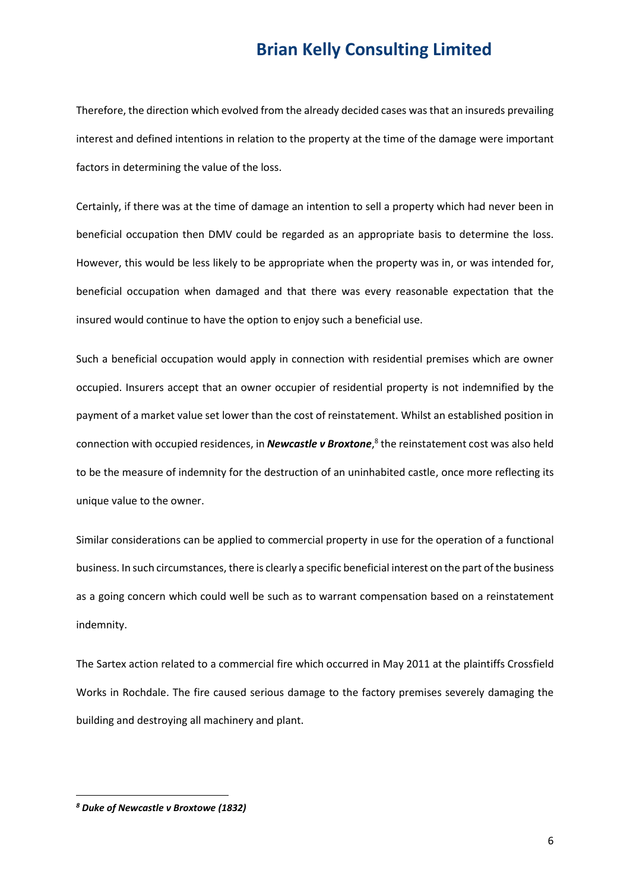Therefore, the direction which evolved from the already decided cases was that an insureds prevailing interest and defined intentions in relation to the property at the time of the damage were important factors in determining the value of the loss.

Certainly, if there was at the time of damage an intention to sell a property which had never been in beneficial occupation then DMV could be regarded as an appropriate basis to determine the loss. However, this would be less likely to be appropriate when the property was in, or was intended for, beneficial occupation when damaged and that there was every reasonable expectation that the insured would continue to have the option to enjoy such a beneficial use.

Such a beneficial occupation would apply in connection with residential premises which are owner occupied. Insurers accept that an owner occupier of residential property is not indemnified by the payment of a market value set lower than the cost of reinstatement. Whilst an established position in connection with occupied residences, in *Newcastle v Broxtone*, 8 the reinstatement cost was also held to be the measure of indemnity for the destruction of an uninhabited castle, once more reflecting its unique value to the owner.

Similar considerations can be applied to commercial property in use for the operation of a functional business. In such circumstances, there is clearly a specific beneficial interest on the part of the business as a going concern which could well be such as to warrant compensation based on a reinstatement indemnity.

The Sartex action related to a commercial fire which occurred in May 2011 at the plaintiffs Crossfield Works in Rochdale. The fire caused serious damage to the factory premises severely damaging the building and destroying all machinery and plant.

*<sup>8</sup> Duke of Newcastle v Broxtowe (1832)*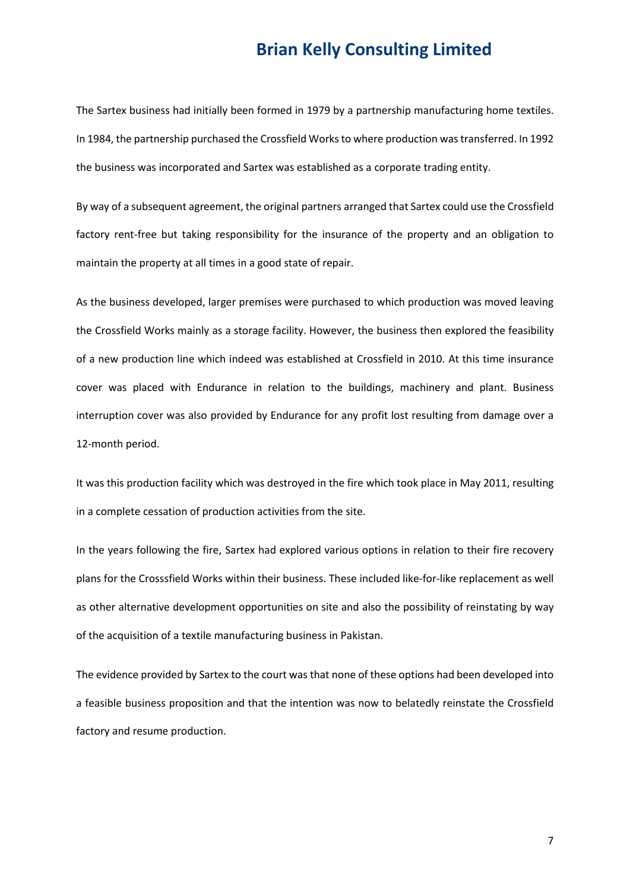The Sartex business had initially been formed in 1979 by a partnership manufacturing home textiles. In 1984, the partnership purchased the Crossfield Works to where production was transferred. In 1992 the business was incorporated and Sartex was established as a corporate trading entity.

By way of a subsequent agreement, the original partners arranged that Sartex could use the Crossfield factory rent-free but taking responsibility for the insurance of the property and an obligation to maintain the property at all times in a good state of repair.

As the business developed, larger premises were purchased to which production was moved leaving the Crossfield Works mainly as a storage facility. However, the business then explored the feasibility of a new production line which indeed was established at Crossfield in 2010. At this time insurance cover was placed with Endurance in relation to the buildings, machinery and plant. Business interruption cover was also provided by Endurance for any profit lost resulting from damage over a 12-month period.

It was this production facility which was destroyed in the fire which took place in May 2011, resulting in a complete cessation of production activities from the site.

In the years following the fire, Sartex had explored various options in relation to their fire recovery plans for the Crosssfield Works within their business. These included like-for-like replacement as well as other alternative development opportunities on site and also the possibility of reinstating by way of the acquisition of a textile manufacturing business in Pakistan.

The evidence provided by Sartex to the court was that none of these options had been developed into a feasible business proposition and that the intention was now to belatedly reinstate the Crossfield factory and resume production.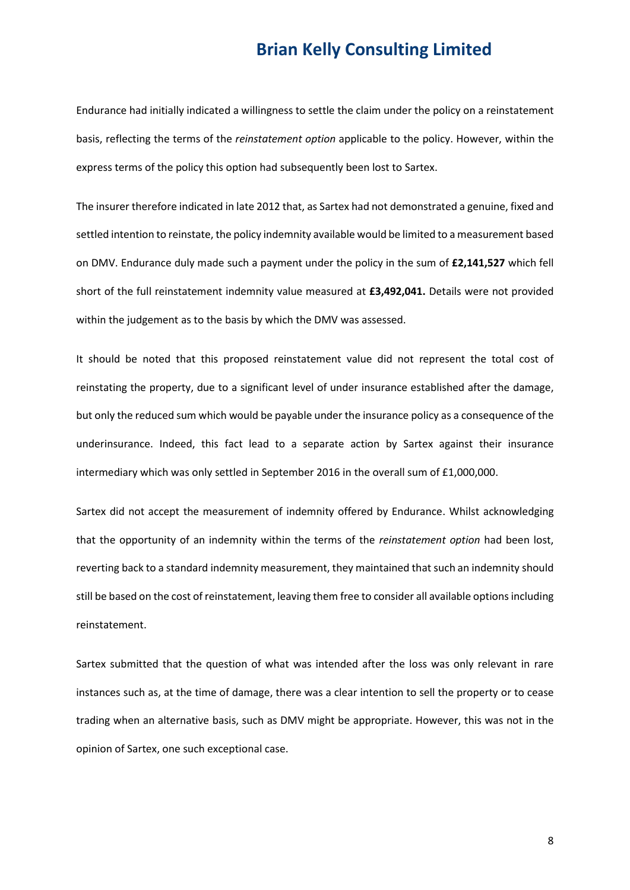Endurance had initially indicated a willingness to settle the claim under the policy on a reinstatement basis, reflecting the terms of the *reinstatement option* applicable to the policy. However, within the express terms of the policy this option had subsequently been lost to Sartex.

The insurer therefore indicated in late 2012 that, as Sartex had not demonstrated a genuine, fixed and settled intention to reinstate, the policy indemnity available would be limited to a measurement based on DMV. Endurance duly made such a payment under the policy in the sum of **£2,141,527** which fell short of the full reinstatement indemnity value measured at **£3,492,041.** Details were not provided within the judgement as to the basis by which the DMV was assessed.

It should be noted that this proposed reinstatement value did not represent the total cost of reinstating the property, due to a significant level of under insurance established after the damage, but only the reduced sum which would be payable under the insurance policy as a consequence of the underinsurance. Indeed, this fact lead to a separate action by Sartex against their insurance intermediary which was only settled in September 2016 in the overall sum of £1,000,000.

Sartex did not accept the measurement of indemnity offered by Endurance. Whilst acknowledging that the opportunity of an indemnity within the terms of the *reinstatement option* had been lost, reverting back to a standard indemnity measurement, they maintained that such an indemnity should still be based on the cost of reinstatement, leaving them free to consider all available options including reinstatement.

Sartex submitted that the question of what was intended after the loss was only relevant in rare instances such as, at the time of damage, there was a clear intention to sell the property or to cease trading when an alternative basis, such as DMV might be appropriate. However, this was not in the opinion of Sartex, one such exceptional case.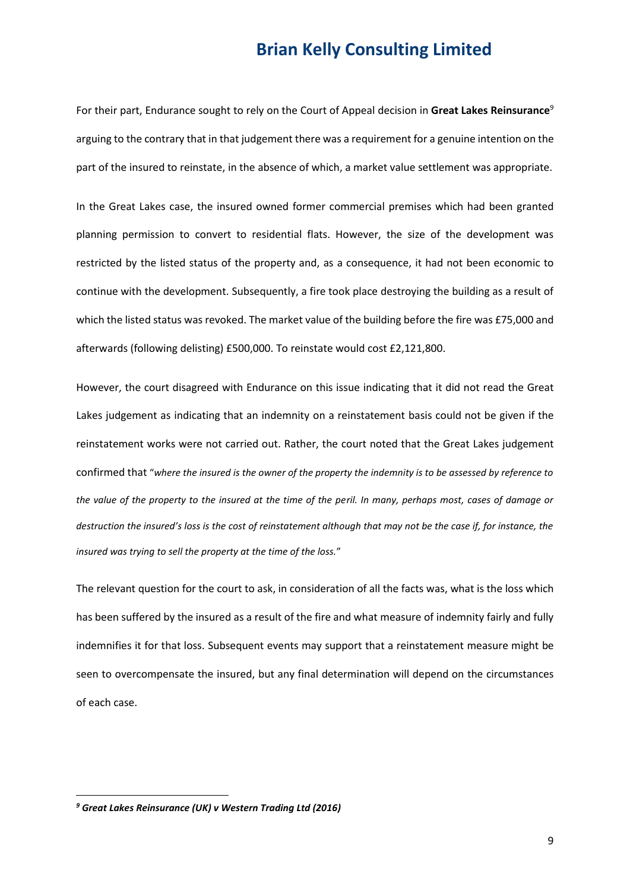For their part, Endurance sought to rely on the Court of Appeal decision in **Great Lakes Reinsurance**<sup>9</sup> arguing to the contrary that in that judgement there was a requirement for a genuine intention on the part of the insured to reinstate, in the absence of which, a market value settlement was appropriate.

In the Great Lakes case, the insured owned former commercial premises which had been granted planning permission to convert to residential flats. However, the size of the development was restricted by the listed status of the property and, as a consequence, it had not been economic to continue with the development. Subsequently, a fire took place destroying the building as a result of which the listed status was revoked. The market value of the building before the fire was £75,000 and afterwards (following delisting) £500,000. To reinstate would cost £2,121,800.

However, the court disagreed with Endurance on this issue indicating that it did not read the Great Lakes judgement as indicating that an indemnity on a reinstatement basis could not be given if the reinstatement works were not carried out. Rather, the court noted that the Great Lakes judgement confirmed that "*where the insured is the owner of the property the indemnity is to be assessed by reference to the value of the property to the insured at the time of the peril. In many, perhaps most, cases of damage or destruction the insured's loss is the cost of reinstatement although that may not be the case if, for instance, the insured was trying to sell the property at the time of the loss.*"

The relevant question for the court to ask, in consideration of all the facts was, what is the loss which has been suffered by the insured as a result of the fire and what measure of indemnity fairly and fully indemnifies it for that loss. Subsequent events may support that a reinstatement measure might be seen to overcompensate the insured, but any final determination will depend on the circumstances of each case.

*<sup>9</sup> Great Lakes Reinsurance (UK) v Western Trading Ltd (2016)*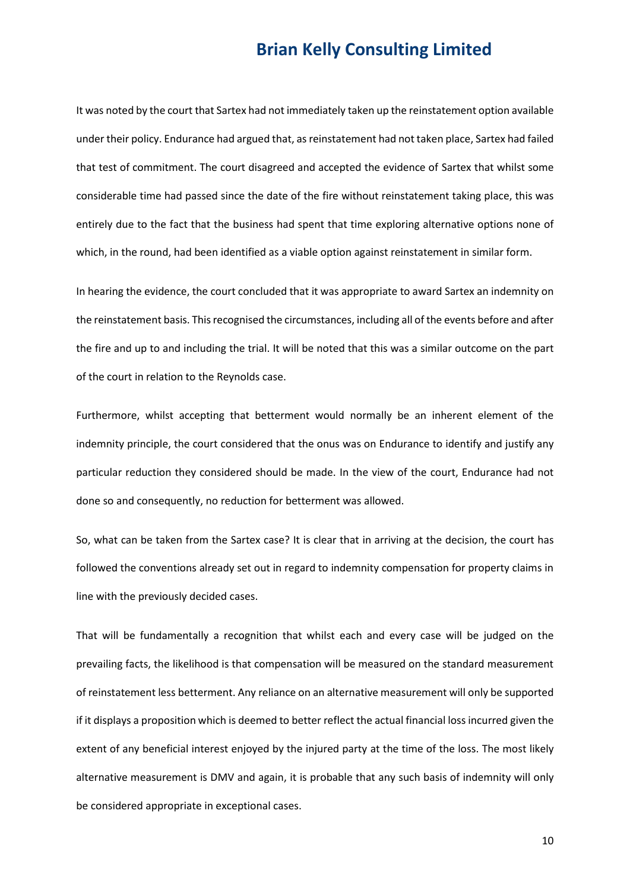It was noted by the court that Sartex had not immediately taken up the reinstatement option available under their policy. Endurance had argued that, as reinstatement had not taken place, Sartex had failed that test of commitment. The court disagreed and accepted the evidence of Sartex that whilst some considerable time had passed since the date of the fire without reinstatement taking place, this was entirely due to the fact that the business had spent that time exploring alternative options none of which, in the round, had been identified as a viable option against reinstatement in similar form.

In hearing the evidence, the court concluded that it was appropriate to award Sartex an indemnity on the reinstatement basis. This recognised the circumstances, including all of the events before and after the fire and up to and including the trial. It will be noted that this was a similar outcome on the part of the court in relation to the Reynolds case.

Furthermore, whilst accepting that betterment would normally be an inherent element of the indemnity principle, the court considered that the onus was on Endurance to identify and justify any particular reduction they considered should be made. In the view of the court, Endurance had not done so and consequently, no reduction for betterment was allowed.

So, what can be taken from the Sartex case? It is clear that in arriving at the decision, the court has followed the conventions already set out in regard to indemnity compensation for property claims in line with the previously decided cases.

That will be fundamentally a recognition that whilst each and every case will be judged on the prevailing facts, the likelihood is that compensation will be measured on the standard measurement of reinstatement less betterment. Any reliance on an alternative measurement will only be supported if it displays a proposition which is deemed to better reflect the actual financial loss incurred given the extent of any beneficial interest enjoyed by the injured party at the time of the loss. The most likely alternative measurement is DMV and again, it is probable that any such basis of indemnity will only be considered appropriate in exceptional cases.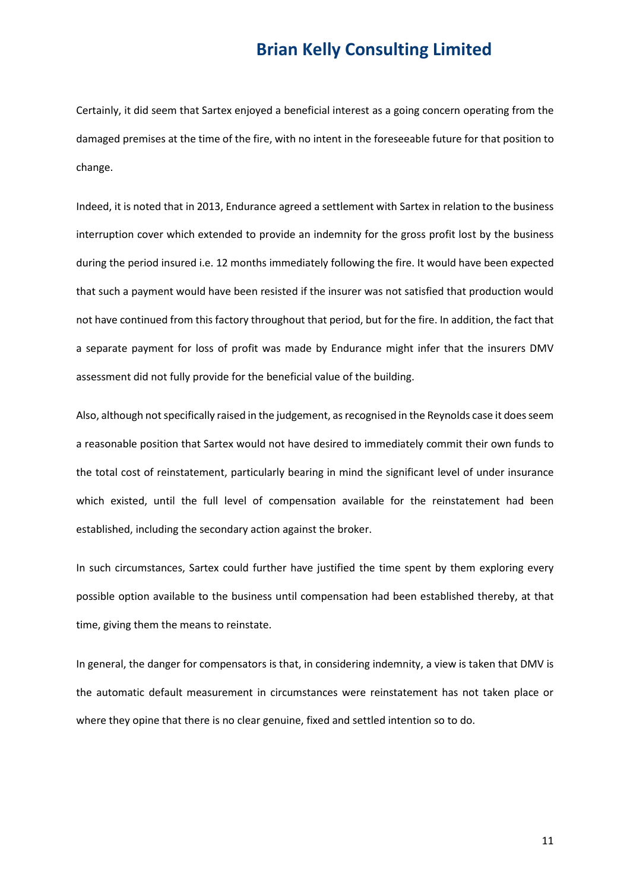Certainly, it did seem that Sartex enjoyed a beneficial interest as a going concern operating from the damaged premises at the time of the fire, with no intent in the foreseeable future for that position to change.

Indeed, it is noted that in 2013, Endurance agreed a settlement with Sartex in relation to the business interruption cover which extended to provide an indemnity for the gross profit lost by the business during the period insured i.e. 12 months immediately following the fire. It would have been expected that such a payment would have been resisted if the insurer was not satisfied that production would not have continued from this factory throughout that period, but for the fire. In addition, the fact that a separate payment for loss of profit was made by Endurance might infer that the insurers DMV assessment did not fully provide for the beneficial value of the building.

Also, although not specifically raised in the judgement, as recognised in the Reynolds case it does seem a reasonable position that Sartex would not have desired to immediately commit their own funds to the total cost of reinstatement, particularly bearing in mind the significant level of under insurance which existed, until the full level of compensation available for the reinstatement had been established, including the secondary action against the broker.

In such circumstances, Sartex could further have justified the time spent by them exploring every possible option available to the business until compensation had been established thereby, at that time, giving them the means to reinstate.

In general, the danger for compensators is that, in considering indemnity, a view is taken that DMV is the automatic default measurement in circumstances were reinstatement has not taken place or where they opine that there is no clear genuine, fixed and settled intention so to do.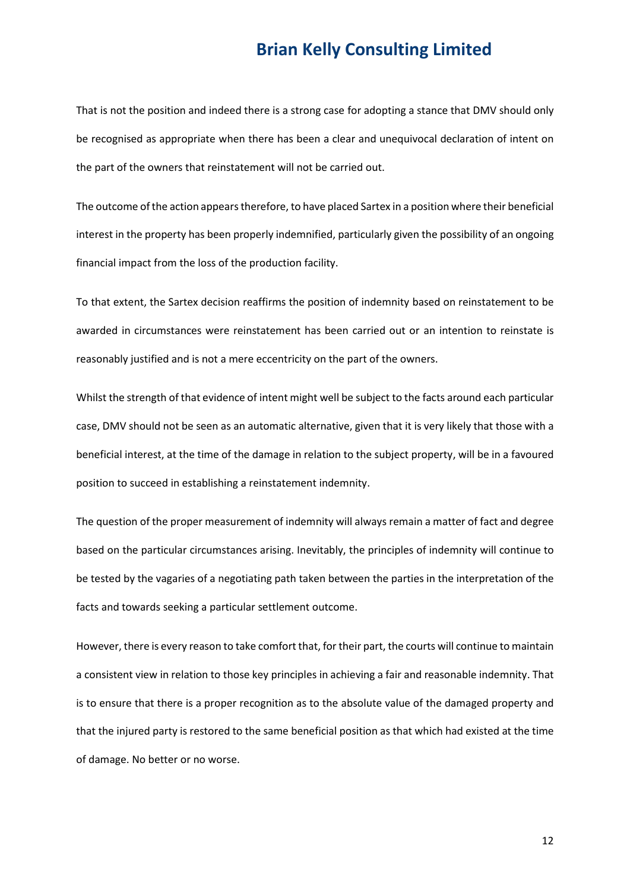That is not the position and indeed there is a strong case for adopting a stance that DMV should only be recognised as appropriate when there has been a clear and unequivocal declaration of intent on the part of the owners that reinstatement will not be carried out.

The outcome of the action appears therefore, to have placed Sartex in a position where their beneficial interest in the property has been properly indemnified, particularly given the possibility of an ongoing financial impact from the loss of the production facility.

To that extent, the Sartex decision reaffirms the position of indemnity based on reinstatement to be awarded in circumstances were reinstatement has been carried out or an intention to reinstate is reasonably justified and is not a mere eccentricity on the part of the owners.

Whilst the strength of that evidence of intent might well be subject to the facts around each particular case, DMV should not be seen as an automatic alternative, given that it is very likely that those with a beneficial interest, at the time of the damage in relation to the subject property, will be in a favoured position to succeed in establishing a reinstatement indemnity.

The question of the proper measurement of indemnity will always remain a matter of fact and degree based on the particular circumstances arising. Inevitably, the principles of indemnity will continue to be tested by the vagaries of a negotiating path taken between the parties in the interpretation of the facts and towards seeking a particular settlement outcome.

However, there is every reason to take comfort that, for their part, the courts will continue to maintain a consistent view in relation to those key principles in achieving a fair and reasonable indemnity. That is to ensure that there is a proper recognition as to the absolute value of the damaged property and that the injured party is restored to the same beneficial position as that which had existed at the time of damage. No better or no worse.